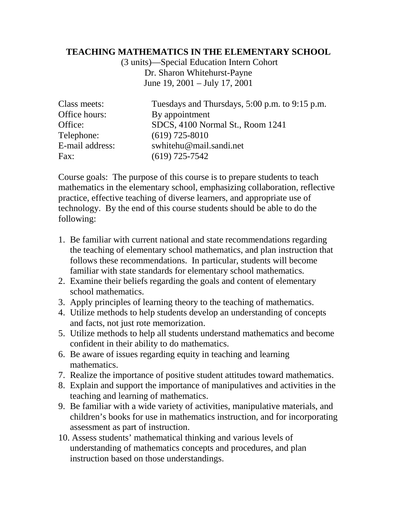## **TEACHING MATHEMATICS IN THE ELEMENTARY SCHOOL**

(3 units)—Special Education Intern Cohort Dr. Sharon Whitehurst-Payne June 19, 2001 – July 17, 2001

| Class meets:    | Tuesdays and Thursdays, 5:00 p.m. to 9:15 p.m. |
|-----------------|------------------------------------------------|
| Office hours:   | By appointment                                 |
| Office:         | SDCS, 4100 Normal St., Room 1241               |
| Telephone:      | $(619)$ 725-8010                               |
| E-mail address: | swhitehu@mail.sandi.net                        |
| Fax:            | $(619)$ 725-7542                               |

Course goals: The purpose of this course is to prepare students to teach mathematics in the elementary school, emphasizing collaboration, reflective practice, effective teaching of diverse learners, and appropriate use of technology. By the end of this course students should be able to do the following:

- 1. Be familiar with current national and state recommendations regarding the teaching of elementary school mathematics, and plan instruction that follows these recommendations. In particular, students will become familiar with state standards for elementary school mathematics.
- 2. Examine their beliefs regarding the goals and content of elementary school mathematics.
- 3. Apply principles of learning theory to the teaching of mathematics.
- 4. Utilize methods to help students develop an understanding of concepts and facts, not just rote memorization.
- 5. Utilize methods to help all students understand mathematics and become confident in their ability to do mathematics.
- 6. Be aware of issues regarding equity in teaching and learning mathematics.
- 7. Realize the importance of positive student attitudes toward mathematics.
- 8. Explain and support the importance of manipulatives and activities in the teaching and learning of mathematics.
- 9. Be familiar with a wide variety of activities, manipulative materials, and children's books for use in mathematics instruction, and for incorporating assessment as part of instruction.
- 10. Assess students' mathematical thinking and various levels of understanding of mathematics concepts and procedures, and plan instruction based on those understandings.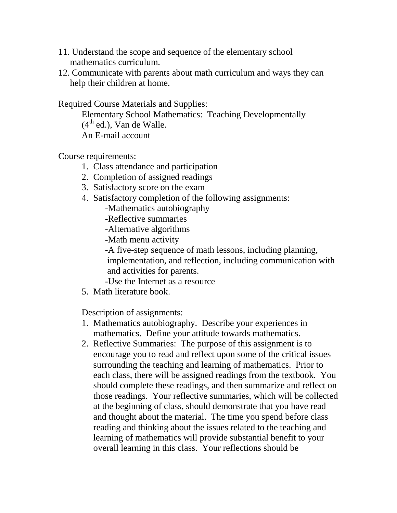- 11. Understand the scope and sequence of the elementary school mathematics curriculum.
- 12. Communicate with parents about math curriculum and ways they can help their children at home.

Required Course Materials and Supplies:

Elementary School Mathematics: Teaching Developmentally  $(4<sup>th</sup>$  ed.), Van de Walle. An E-mail account

Course requirements:

- 1. Class attendance and participation
- 2. Completion of assigned readings
- 3. Satisfactory score on the exam
- 4. Satisfactory completion of the following assignments:

-Mathematics autobiography

- -Reflective summaries
- -Alternative algorithms
- -Math menu activity

-A five-step sequence of math lessons, including planning, implementation, and reflection, including communication with and activities for parents.

- -Use the Internet as a resource
- 5. Math literature book.

Description of assignments:

- 1. Mathematics autobiography. Describe your experiences in mathematics. Define your attitude towards mathematics.
- 2. Reflective Summaries: The purpose of this assignment is to encourage you to read and reflect upon some of the critical issues surrounding the teaching and learning of mathematics. Prior to each class, there will be assigned readings from the textbook. You should complete these readings, and then summarize and reflect on those readings. Your reflective summaries, which will be collected at the beginning of class, should demonstrate that you have read and thought about the material. The time you spend before class reading and thinking about the issues related to the teaching and learning of mathematics will provide substantial benefit to your overall learning in this class. Your reflections should be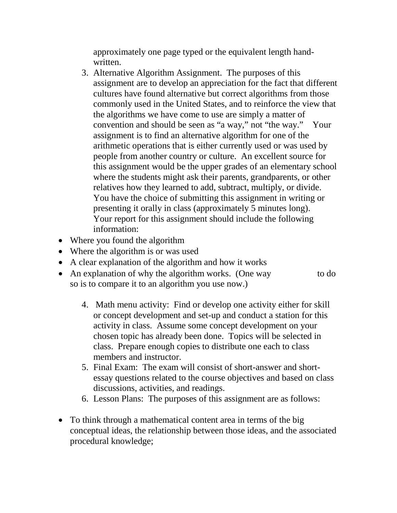approximately one page typed or the equivalent length handwritten.

- 3. Alternative Algorithm Assignment. The purposes of this assignment are to develop an appreciation for the fact that different cultures have found alternative but correct algorithms from those commonly used in the United States, and to reinforce the view that the algorithms we have come to use are simply a matter of convention and should be seen as "a way," not "the way." Your assignment is to find an alternative algorithm for one of the arithmetic operations that is either currently used or was used by people from another country or culture. An excellent source for this assignment would be the upper grades of an elementary school where the students might ask their parents, grandparents, or other relatives how they learned to add, subtract, multiply, or divide. You have the choice of submitting this assignment in writing or presenting it orally in class (approximately 5 minutes long). Your report for this assignment should include the following information:
- Where you found the algorithm
- Where the algorithm is or was used
- A clear explanation of the algorithm and how it works
- An explanation of why the algorithm works. (One way to do so is to compare it to an algorithm you use now.)
	- 4. Math menu activity: Find or develop one activity either for skill or concept development and set-up and conduct a station for this activity in class. Assume some concept development on your chosen topic has already been done. Topics will be selected in class. Prepare enough copies to distribute one each to class members and instructor.
	- 5. Final Exam: The exam will consist of short-answer and shortessay questions related to the course objectives and based on class discussions, activities, and readings.
	- 6. Lesson Plans: The purposes of this assignment are as follows:
- To think through a mathematical content area in terms of the big conceptual ideas, the relationship between those ideas, and the associated procedural knowledge;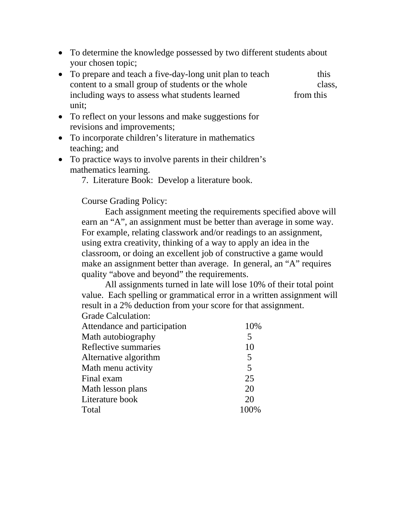- To determine the knowledge possessed by two different students about your chosen topic;
- To prepare and teach a five-day-long unit plan to teach this content to a small group of students or the whole class, including ways to assess what students learned from this unit;
- To reflect on your lessons and make suggestions for revisions and improvements;
- To incorporate children's literature in mathematics teaching; and
- To practice ways to involve parents in their children's mathematics learning.
	- 7. Literature Book: Develop a literature book.

## Course Grading Policy:

Each assignment meeting the requirements specified above will earn an "A", an assignment must be better than average in some way. For example, relating classwork and/or readings to an assignment, using extra creativity, thinking of a way to apply an idea in the classroom, or doing an excellent job of constructive a game would make an assignment better than average. In general, an "A" requires quality "above and beyond" the requirements.

All assignments turned in late will lose 10% of their total point value. Each spelling or grammatical error in a written assignment will result in a 2% deduction from your score for that assignment. Grade Calculation:

| Attendance and participation | 10% |
|------------------------------|-----|
| Math autobiography           | 5   |
| Reflective summaries         | 10  |
| Alternative algorithm        | 5   |
| Math menu activity           | 5   |
| Final exam                   | 25  |
| Math lesson plans            | 20  |
| Literature book              | 20  |
| Total                        |     |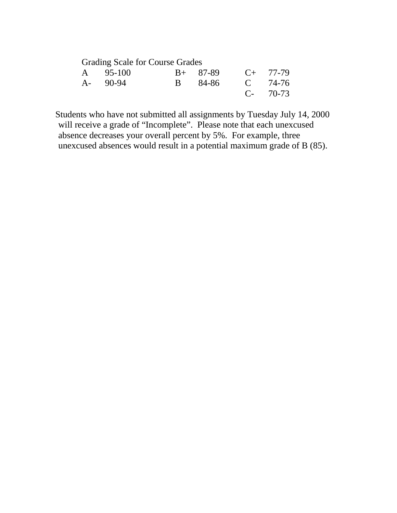| <b>Grading Scale for Course Grades</b> |                 |               |             |
|----------------------------------------|-----------------|---------------|-------------|
| A 95-100                               | B+ 87-89        | $C_{+}$ 77-79 |             |
| $A - 90-94$                            | B 84-86 C 74-76 |               |             |
|                                        |                 |               | $C - 70-73$ |

Students who have not submitted all assignments by Tuesday July 14, 2000 will receive a grade of "Incomplete". Please note that each unexcused absence decreases your overall percent by 5%. For example, three unexcused absences would result in a potential maximum grade of B (85).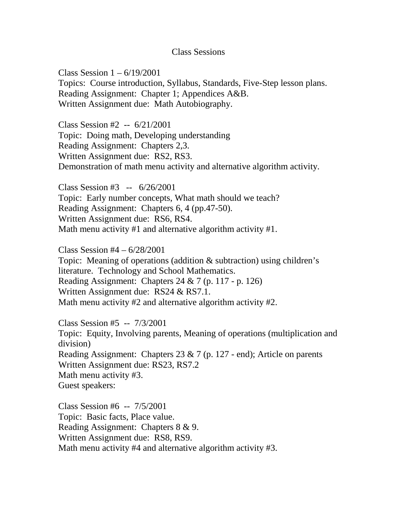## Class Sessions

Class Session  $1 - 6/19/2001$ Topics: Course introduction, Syllabus, Standards, Five-Step lesson plans. Reading Assignment: Chapter 1; Appendices A&B. Written Assignment due: Math Autobiography.

Class Session #2 -- 6/21/2001 Topic: Doing math, Developing understanding Reading Assignment: Chapters 2,3. Written Assignment due: RS2, RS3. Demonstration of math menu activity and alternative algorithm activity.

Class Session #3 -- 6/26/2001 Topic: Early number concepts, What math should we teach? Reading Assignment: Chapters 6, 4 (pp.47-50). Written Assignment due: RS6, RS4. Math menu activity #1 and alternative algorithm activity #1.

Class Session #4 – 6/28/2001 Topic: Meaning of operations (addition & subtraction) using children's literature. Technology and School Mathematics. Reading Assignment: Chapters 24 & 7 (p. 117 - p. 126) Written Assignment due: RS24 & RS7.1. Math menu activity #2 and alternative algorithm activity #2.

Class Session #5 -- 7/3/2001 Topic: Equity, Involving parents, Meaning of operations (multiplication and division) Reading Assignment: Chapters 23 & 7 (p. 127 - end); Article on parents Written Assignment due: RS23, RS7.2 Math menu activity #3. Guest speakers:

Class Session #6 -- 7/5/2001 Topic: Basic facts, Place value. Reading Assignment: Chapters 8 & 9. Written Assignment due: RS8, RS9. Math menu activity #4 and alternative algorithm activity #3.